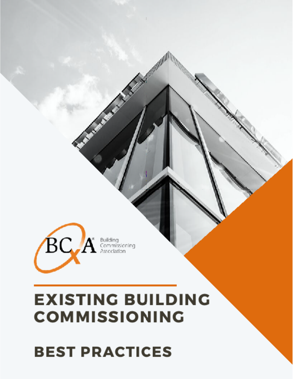# **BEST PRACTICES**

# **EXISTING BUILDING COMMISSIONING**

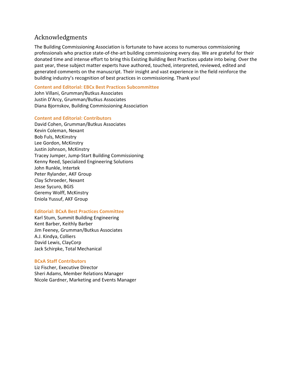#### Acknowledgments

The Building Commissioning Association is fortunate to have access to numerous commissioning professionals who practice state‐of‐the‐art building commissioning every day. We are grateful for their donated time and intense effort to bring this Existing Building Best Practices update into being. Over the past year, these subject matter experts have authored, touched, interpreted, reviewed, edited and generated comments on the manuscript. Their insight and vast experience in the field reinforce the building industry's recognition of best practices in commissioning. Thank you!

#### **Content and Editorial: EBCx Best Practices Subcommittee**

John Villani, Grumman/Butkus Associates Justin D'Arcy, Grumman/Butkus Associates Diana Bjornskov, Building Commissioning Association

#### **Content and Editorial: Contributors**

David Cohen, Grumman/Butkus Associates Kevin Coleman, Nexant Bob Fuls, McKinstry Lee Gordon, McKinstry Justin Johnson, McKinstry Tracey Jumper, Jump‐Start Building Commissioning Kenny Reed, Specialized Engineering Solutions John Runkle, Intertek Peter Rylander, AKF Group Clay Schroeder, Nexant Jesse Sycuro, BGIS Geremy Wolff, McKinstry Eniola Yussuf, AKF Group

#### **Editorial: BCxA Best Practices Committee**

Karl Stum, Summit Building Engineering Kent Barber, Keithly Barber Jim Feeney, Grumman/Butkus Associates A.J. Kindya, Colliers David Lewis, ClayCorp Jack Schirpke, Total Mechanical

#### **BCxA Staff Contributors**

Liz Fischer, Executive Director Sheri Adams, Member Relations Manager Nicole Gardner, Marketing and Events Manager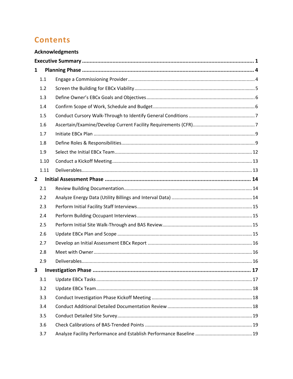# **Contents**

|                |      | <b>Acknowledgments</b> |  |  |
|----------------|------|------------------------|--|--|
|                |      |                        |  |  |
| $\mathbf{1}$   |      |                        |  |  |
|                | 1.1  |                        |  |  |
|                | 1.2  |                        |  |  |
|                | 1.3  |                        |  |  |
|                | 1.4  |                        |  |  |
|                | 1.5  |                        |  |  |
|                | 1.6  |                        |  |  |
|                | 1.7  |                        |  |  |
|                | 1.8  |                        |  |  |
|                | 1.9  |                        |  |  |
|                | 1.10 |                        |  |  |
|                | 1.11 |                        |  |  |
| $\overline{2}$ |      |                        |  |  |
|                | 2.1  |                        |  |  |
|                | 2.2  |                        |  |  |
|                | 2.3  |                        |  |  |
|                | 2.4  |                        |  |  |
|                | 2.5  |                        |  |  |
|                | 2.6  |                        |  |  |
|                | 2.7  |                        |  |  |
|                | 2.8  |                        |  |  |
|                | 2.9  |                        |  |  |
| 3              |      |                        |  |  |
|                | 3.1  |                        |  |  |
|                | 3.2  |                        |  |  |
|                | 3.3  |                        |  |  |
|                | 3.4  |                        |  |  |
|                | 3.5  |                        |  |  |
|                | 3.6  |                        |  |  |
|                | 3.7  |                        |  |  |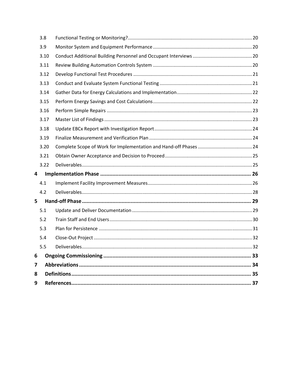| 3.8            |  |
|----------------|--|
| 3.9            |  |
| 3.10           |  |
| 3.11           |  |
| 3.12           |  |
| 3.13           |  |
| 3.14           |  |
| 3.15           |  |
| 3.16           |  |
| 3.17           |  |
| 3.18           |  |
| 3.19           |  |
| 3.20           |  |
| 3.21           |  |
| 3.22           |  |
| 4              |  |
| 4.1            |  |
| 4.2            |  |
| 5              |  |
| 5.1            |  |
| 5.2            |  |
| 5.3            |  |
| 5.4            |  |
| 5.5            |  |
| 6              |  |
| $\overline{7}$ |  |
| 8              |  |
| 9              |  |
|                |  |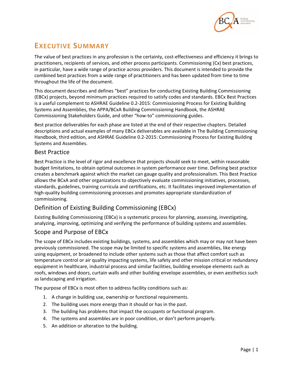

# **EXECUTIVE SUMMARY**

The value of best practices in any profession is the certainty, cost-effectiveness and efficiency it brings to practitioners, recipients of services, and other process participants. Commissioning (Cx) best practices, in particular, have a wide range of practice across providers. This document is intended to provide the combined best practices from a wide range of practitioners and has been updated from time to time throughout the life of the document.

This document describes and defines "best" practices for conducting Existing Building Commissioning (EBCx) projects, beyond minimum practices required to satisfy codes and standards. EBCx Best Practices is a useful complement to ASHRAE Guideline 0.2‐2015: Commissioning Process for Existing Building Systems and Assemblies, the APPA/BCxA Building Commissioning Handbook, the ASHRAE Commissioning Stakeholders Guide, and other "how‐to" commissioning guides.

Best practice deliverables for each phase are listed at the end of their respective chapters. Detailed descriptions and actual examples of many EBCx deliverables are available in The Building Commissioning Handbook, third edition, and ASHRAE Guideline 0.2‐2015: Commissioning Process for Existing Building Systems and Assemblies.

#### Best Practice

Best Practice is the level of rigor and excellence that projects should seek to meet, within reasonable budget limitations, to obtain optimal outcomes in system performance over time. Defining best practice creates a benchmark against which the market can gauge quality and professionalism. This Best Practice allows the BCxA and other organizations to objectively evaluate commissioning initiatives, processes, standards, guidelines, training curricula and certifications, etc. It facilitates improved implementation of high-quality building commissioning processes and promotes appropriate standardization of commissioning.

### Definition of Existing Building Commissioning (EBCx)

Existing Building Commissioning (EBCx) is a systematic process for planning, assessing, investigating, analyzing, improving, optimizing and verifying the performance of building systems and assemblies.

#### Scope and Purpose of EBCx

The scope of EBCx includes existing buildings, systems, and assemblies which may or may not have been previously commissioned. The scope may be limited to specific systems and assemblies, like energy using equipment, or broadened to include other systems such as those that affect comfort such as temperature control or air quality impacting systems, life safety and other mission critical or redundancy equipment in healthcare, industrial process and similar facilities, building envelope elements such as roofs, windows and doors, curtain walls and other building envelope assemblies, or even aesthetics such as landscaping and irrigation.

The purpose of EBCx is most often to address facility conditions such as:

- 1. A change in building use, ownership or functional requirements.
- 2. The building uses more energy than it should or has in the past.
- 3. The building has problems that impact the occupants or functional program.
- 4. The systems and assembles are in poor condition, or don't perform properly.
- 5. An addition or alteration to the building.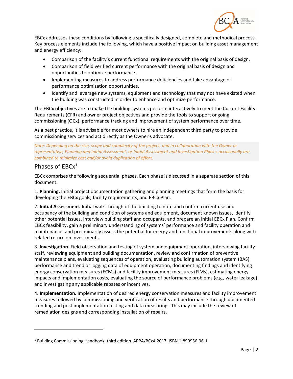

EBCx addresses these conditions by following a specifically designed, complete and methodical process. Key process elements include the following, which have a positive impact on building asset management and energy efficiency:

- Comparison of the facility's current functional requirements with the original basis of design.
- Comparison of field verified current performance with the original basis of design and opportunities to optimize performance.
- Implementing measures to address performance deficiencies and take advantage of performance optimization opportunities.
- Identify and leverage new systems, equipment and technology that may not have existed when the building was constructed in order to enhance and optimize performance.

The EBCx objectives are to make the building systems perform interactively to meet the Current Facility Requirements (CFR) and owner project objectives and provide the tools to support ongoing commissioning (OCx), performance tracking and improvement of system performance over time.

As a best practice, it is advisable for most owners to hire an independent third party to provide commissioning services and act directly as the Owner's advocate.

*Note: Depending on the size, scope and complexity of the project, and in collaboration with the Owner or representative, Planning and Initial Assessment, or Initial Assessment and Investigation Phases occasionally are combined to minimize cost and/or avoid duplication of effort.* 

#### Phases of EBCx<sup>1</sup>

EBCx comprises the following sequential phases. Each phase is discussed in a separate section of this document.

1. **Planning.** Initial project documentation gathering and planning meetings that form the basis for developing the EBCx goals, facility requirements, and EBCx Plan.

2. **Initial Assessment.** Initial walk‐through of the building to note and confirm current use and occupancy of the building and condition of systems and equipment, document known issues, identify other potential issues, interview building staff and occupants, and prepare an initial EBCx Plan. Confirm EBCx feasibility, gain a preliminary understanding of systems' performance and facility operation and maintenance, and preliminarily assess the potential for energy and functional improvements along with related return on investments.

3. **Investigation.** Field observation and testing of system and equipment operation, interviewing facility staff, reviewing equipment and building documentation, review and confirmation of preventive maintenance plans, evaluating sequences of operation, evaluating building automation system (BAS) performance and trend or logging data of equipment operation, documenting findings and identifying energy conservation measures (ECMs) and facility improvement measures (FIMs), estimating energy impacts and implementation costs, evaluating the source of performance problems (e.g., water leakage) and investigating any applicable rebates or incentives.

4. **Implementation.** Implementation of desired energy conservation measures and facility improvement measures followed by commissioning and verification of results and performance through documented trending and post implementation testing and data measuring. This may include the review of remediation designs and corresponding installation of repairs.

<sup>1</sup> Building Commissioning Handbook, third edition. APPA/BCxA 2017. ISBN 1‐890956‐96‐1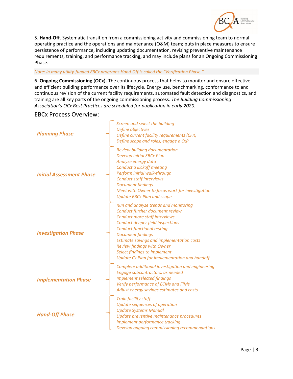

5. **Hand‐Off.** Systematic transition from a commissioning activity and commissioning team to normal operating practice and the operations and maintenance (O&M) team; puts in place measures to ensure persistence of performance, including updating documentation, revising preventive maintenance requirements, training, and performance tracking, and may include plans for an Ongoing Commissioning Phase.

*Note: In many utility‐funded EBCx programs Hand‐Off is called the "Verification Phase."* 

6. **Ongoing Commissioning (OCx).** The continuous process that helps to monitor and ensure effective and efficient building performance over its lifecycle. Energy use, benchmarking, conformance to and continuous revision of the current facility requirements, automated fault detection and diagnostics, and training are all key parts of the ongoing commissioning process. *The Building Commissioning Association's OCx Best Practices are scheduled for publication in early 2020.*

#### EBCx Process Overview:

| <b>Planning Phase</b>           | Screen and select the building<br>Define objectives<br>Define current facility requirements (CFR)<br>Define scope and roles; engage a CxP                                                                                                                                                                                                                                                |
|---------------------------------|------------------------------------------------------------------------------------------------------------------------------------------------------------------------------------------------------------------------------------------------------------------------------------------------------------------------------------------------------------------------------------------|
| <b>Initial Assessment Phase</b> | Review building documentation<br><b>Develop initial EBCx Plan</b><br>Analyze energy data<br>Conduct a kickoff meeting<br>Perform initial walk-through<br><b>Conduct staff interviews</b><br><b>Document findings</b><br>Meet with Owner to focus work for investigation<br><b>Update EBCx Plan and scope</b>                                                                             |
| <b>Investigation Phase</b>      | Run and analyze trends and monitoring<br>Conduct further document review<br>Conduct more staff interviews<br>Conduct deeper field inspections<br><b>Conduct functional testing</b><br><b>Document findings</b><br><b>Estimate savings and implementation costs</b><br><b>Review findings with Owner</b><br>Select findings to implement<br>Update Cx Plan for implementation and handoff |
| <b>Implementation Phase</b>     | Complete additional investigation and engineering<br>Engage subcontractors, as needed<br><b>Implement selected findings</b><br>Verify performance of ECMs and FIMs<br>Adjust energy savings estimates and costs                                                                                                                                                                          |
| <b>Hand-Off Phase</b>           | <b>Train facility staff</b><br>Update sequences of operation<br><b>Update Systems Manual</b><br>Update preventive maintenance procedures<br>Implement performance tracking<br>Develop ongoing commissioning recommendations                                                                                                                                                              |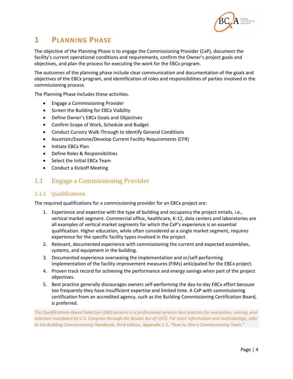

# **1 PLANNING PHASE**

The objective of the Planning Phase is to engage the Commissioning Provider (CxP), document the facility's current operational conditions and requirements, confirm the Owner's project goals and objectives, and plan the process for executing the work for the EBCx program.

The outcomes of the planning phase include clear communication and documentation of the goals and objectives of the EBCx program, and identification of roles and responsibilities of parties involved in the commissioning process.

The Planning Phase includes these activities.

- Engage a Commissioning Provider
- **•** Screen the Building for EBCx Viability
- Define Owner's EBCx Goals and Objectives
- Confirm Scope of Work, Schedule and Budget
- Conduct Cursory Walk-Through to Identify General Conditions
- Ascertain/Examine/Develop Current Facility Requirements (CFR)
- Initiate EBCx Plan
- Define Roles & Responsibilities
- Select the Initial EBCx Team
- Conduct a Kickoff Meeting

#### 1.1 Engage a Commissioning Provider

#### 1.1.1 Qualifications

The required qualifications for a commissioning provider for an EBCx project are:

- 1. Experience and expertise with the type of building and occupancy the project entails, i.e., vertical market segment. Commercial office, healthcare, K‐12, data centers and laboratories are all examples of vertical market segments for which the CxP's experience is an essential qualification. Higher education, while often considered as a single market segment, requires experience for the specific facility types involved in the project.
- 2. Relevant, documented experience with commissioning the current and expected assemblies, systems, and equipment in the building.
- 3. Documented experience overseeing the implementation and or/self‐performing implementation of the facility improvement measures (FIMs) anticipated for the EBCx project.
- 4. Proven track record for achieving the performance and energy savings when part of the project objectives.
- 5. Best practice generally discourages owners self-performing the day-to-day EBCx effort because too frequently they have insufficient expertise and limited time. A CxP with commissioning certification from an accredited agency, such as the Building Commissioning Certification Board, is preferred.

*The Qualifications‐Based Selection (QBS) process is a professional services best practice for evaluation, scoring, and selection mandated by U.S. Congress through the Brooks Act of 1972. For more information and methodology, refer to the Building Commissioning Handbook, third edition, Appendix 1‐1, "How to Hire a Commissioning Team."*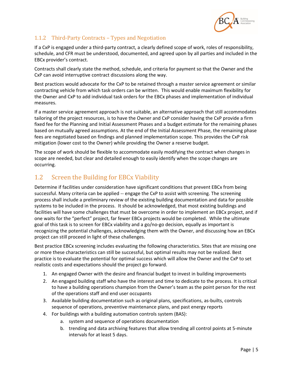

#### 1.1.2 Third-Party Contracts – Types and Negotiation

If a CxP is engaged under a third‐party contract, a clearly defined scope of work, roles of responsibility, schedule, and CFR must be understood, documented, and agreed upon by all parties and included in the EBCx provider's contract.

Contracts shall clearly state the method, schedule, and criteria for payment so that the Owner and the CxP can avoid interruptive contract discussions along the way.

Best practices would advocate for the CxP to be retained through a master service agreement or similar contracting vehicle from which task orders can be written. This would enable maximum flexibility for the Owner and CxP to add individual task orders for the EBCx phases and implementation of individual measures.

If a master service agreement approach is not suitable, an alternative approach that still accommodates tailoring of the project resources, is to have the Owner and CxP consider having the CxP provide a firm fixed fee for the Planning and Initial Assessment Phases and a budget estimate for the remaining phases based on mutually agreed assumptions. At the end of the Initial Assessment Phase, the remaining phase fees are negotiated based on findings and planned implementation scope. This provides the CxP risk mitigation (lower cost to the Owner) while providing the Owner a reserve budget.

The scope of work should be flexible to accommodate easily modifying the contract when changes in scope are needed, but clear and detailed enough to easily identify when the scope changes are occurring.

# 1.2 Screen the Building for EBCx Viability

Determine if facilities under consideration have significant conditions that prevent EBCx from being successful. Many criteria can be applied -- engage the CxP to assist with screening. The screening process shall include a preliminary review of the existing building documentation and data for possible systems to be included in the process. It should be acknowledged, that most existing buildings and facilities will have some challenges that must be overcome in order to implement an EBCx project, and if one waits for the "perfect" project, far fewer EBCx projects would be completed. While the ultimate goal of this task is to screen for EBCx viability and a go/no‐go decision, equally as important is recognizing the potential challenges, acknowledging them with the Owner, and discussing how an EBCx project can still proceed in light of these challenges.

Best practice EBCx screening includes evaluating the following characteristics. Sites that are missing one or more these characteristics can still be successful, but optimal results may not be realized. Best practice is to evaluate the potential for optimal success which will allow the Owner and the CxP to set realistic costs and expectations should the project go forward.

- 1. An engaged Owner with the desire and financial budget to invest in building improvements
- 2. An engaged building staff who have the interest and time to dedicate to the process. It is critical to have a building operations champion from the Owner's team as the point person for the rest of the operations staff and end user occupants
- 3. Available building documentation such as original plans, specifications, as‐builts, controls sequence of operations, preventive maintenance plans, and past energy reports
- 4. For buildings with a building automation controls system (BAS):
	- a. system and sequence of operations documentation
	- b. trending and data archiving features that allow trending all control points at 5‐minute intervals for at least 5 days.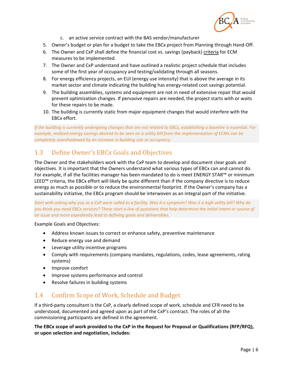

- c. an active service contract with the BAS vendor/manufacturer
- 5. Owner's budget or plan for a budget to take the EBCx project from Planning through Hand-Off.
- 6. The Owner and CxP shall define the financial cost vs. savings (payback) criteria for ECM measures to be implemented.
- 7. The Owner and CxP understand and have outlined a realistic project schedule that includes some of the first year of occupancy and testing/validating through all seasons.
- 8. For energy efficiency projects, an EUI (energy use intensity) that is above the average in its market sector and climate indicating the building has energy-related cost savings potential.
- 9. The building assemblies, systems and equipment are not in need of extensive repair that would prevent optimization changes. If pervasive repairs are needed, the project starts with or waits for these repairs to be made.
- 10. The building is currently static from major equipment changes that would interfere with the EBCx effort.

*If the building is currently undergoing changes that are not related to EBCx, establishing a baseline is essential. For example, realized energy savings desired to be seen on a utility bill from the implementation of ECMs can be completely overshadowed by an increase in building size or occupancy.* 

# 1.3 Define Owner's EBCx Goals and Objectives

The Owner and the stakeholders work with the CxP team to develop and document clear goals and objectives. It is important that the Owners understand what various types of EBCx can and cannot do. For example, if all the facilities manager has been mandated to do is meet ENERGY STAR™ or minimum LEED™ criteria, the EBCx effort will likely be quite different than if the company directive is to reduce energy as much as possible or to reduce the environmental footprint. If the Owner's company has a sustainability initiative, the EBCx program should be interwoven as an integral part of the initiative.

*Start with asking why you as a CxP were called to a facility. Was it a symptom? Was it a high utility bill? Why do you think you need EBCx services? These start a line of questions that help determine the initial intent or source of an issue and more expediently lead to defining goals and deliverables.* 

Example Goals and Objectives:

- Address known issues to correct or enhance safety, preventive maintenance
- Reduce energy use and demand
- Leverage utility incentive programs
- Comply with requirements (company mandates, regulations, codes, lease agreements, rating systems)
- Improve comfort
- Improve systems performance and control
- Resolve failures in building systems

## 1.4 Confirm Scope of Work, Schedule and Budget

If a third‐party consultant is the CxP, a clearly defined scope of work, schedule and CFR need to be understood, documented and agreed upon as part of the CxP's contract. The roles of all the commissioning participants are defined in the agreement.

**The EBCx scope of work provided to the CxP in the Request for Proposal or Qualifications (RFP/RFQ), or upon selection and negotiation, includes:**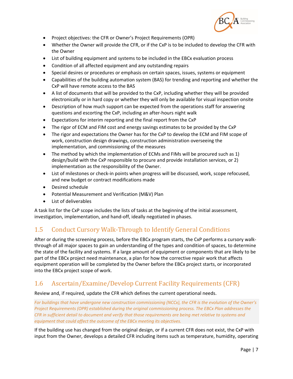

- Project objectives: the CFR or Owner's Project Requirements (OPR)
- Whether the Owner will provide the CFR, or if the CxP is to be included to develop the CFR with the Owner
- List of building equipment and systems to be included in the EBCx evaluation process
- Condition of all affected equipment and any outstanding repairs
- Special desires or procedures or emphasis on certain spaces, issues, systems or equipment
- Capabilities of the building automation system (BAS) for trending and reporting and whether the CxP will have remote access to the BAS
- A list of documents that will be provided to the CxP, including whether they will be provided electronically or in hard copy or whether they will only be available for visual inspection onsite
- Description of how much support can be expected from the operations staff for answering questions and escorting the CxP, including an after‐hours night walk
- Expectations for interim reporting and the final report from the CxP
- The rigor of ECM and FIM cost and energy savings estimates to be provided by the CxP
- The rigor and expectations the Owner has for the CxP to develop the ECM and FIM scope of work, construction design drawings, construction administration overseeing the implementation, and commissioning of the measures
- The method by which the implementation of ECMs and FIMs will be procured such as 1) design/build with the CxP responsible to procure and provide installation services, or 2) implementation as the responsibility of the Owner.
- List of milestones or check-in points when progress will be discussed, work, scope refocused, and new budget or contract modifications made
- Desired schedule
- Potential Measurement and Verification (M&V) Plan
- List of deliverables

A task list for the CxP scope includes the lists of tasks at the beginning of the initial assessment, investigation, implementation, and hand‐off, ideally negotiated in phases.

## 1.5 Conduct Cursory Walk-Through to Identify General Conditions

After or during the screening process, before the EBCx program starts, the CxP performs a cursory walk‐ through of all major spaces to gain an understanding of the types and condition of spaces, to determine the state of the facility and systems. If a large amount of equipment or components that are likely to be part of the EBCx project need maintenance, a plan for how the corrective repair work that affects equipment operation will be completed by the Owner before the EBCx project starts, or incorporated into the EBCx project scope of work.

## 1.6 Ascertain/Examine/Develop Current Facility Requirements (CFR)

Review and, if required, update the CFR which defines the current operational needs.

*For buildings that have undergone new construction commissioning (NCCx), the CFR is the evolution of the Owner's Project Requirements (OPR) established during the original commissioning process. The EBCx Plan addresses the CFR in sufficient detail to document and verify that those requirements are being met relative to systems and equipment that could affect the outcome of the EBCx meeting its objectives.* 

If the building use has changed from the original design, or if a current CFR does not exist, the CxP with input from the Owner, develops a detailed CFR including items such as temperature, humidity, operating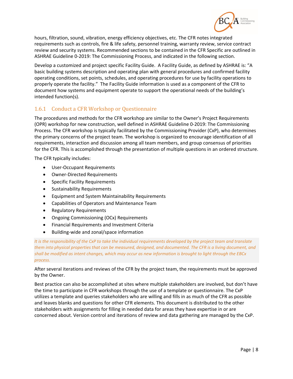

hours, filtration, sound, vibration, energy efficiency objectives, etc. The CFR notes integrated requirements such as controls, fire & life safety, personnel training, warranty review, service contract review and security systems. Recommended sections to be contained in the CFR Specific are outlined in ASHRAE Guideline 0‐2019: The Commissioning Process, and indicated in the following section.

Develop a customized and project specific Facility Guide. A Facility Guide, as defined by ASHRAE is: "A basic building systems description and operating plan with general procedures and confirmed facility operating conditions, set points, schedules, and operating procedures for use by facility operations to properly operate the facility." The Facility Guide information is used as a component of the CFR to document how systems and equipment operate to support the operational needs of the building's intended function(s).

#### 1.6.1 Conduct a CFR Workshop or Questionnaire

The procedures and methods for the CFR workshop are similar to the Owner's Project Requirements (OPR) workshop for new construction, well defined in ASHRAE Guideline 0‐2019: The Commissioning Process. The CFR workshop is typically facilitated by the Commissioning Provider (CxP), who determines the primary concerns of the project team. The workshop is organized to encourage identification of all requirements, interaction and discussion among all team members, and group consensus of priorities for the CFR. This is accomplished through the presentation of multiple questions in an ordered structure.

The CFR typically includes:

- User‐Occupant Requirements
- Owner-Directed Requirements
- Specific Facility Requirements
- Sustainability Requirements
- Equipment and System Maintainability Requirements
- Capabilities of Operators and Maintenance Team
- Regulatory Requirements
- Ongoing Commissioning (OCx) Requirements
- Financial Requirements and Investment Criteria
- Building-wide and zonal/space information

*It is the responsibility of the CxP to take the individual requirements developed by the project team and translate them into physical properties that can be measured, designed, and documented. The CFR is a living document, and shall be modified as intent changes, which may occur as new information is brought to light through the EBCx process.* 

After several iterations and reviews of the CFR by the project team, the requirements must be approved by the Owner.

Best practice can also be accomplished at sites where multiple stakeholders are involved, but don't have the time to participate in CFR workshops through the use of a template or questionnaire. The CxP utilizes a template and queries stakeholders who are willing and fills in as much of the CFR as possible and leaves blanks and questions for other CFR elements. This document is distributed to the other stakeholders with assignments for filling in needed data for areas they have expertise in or are concerned about. Version control and iterations of review and data gathering are managed by the CxP.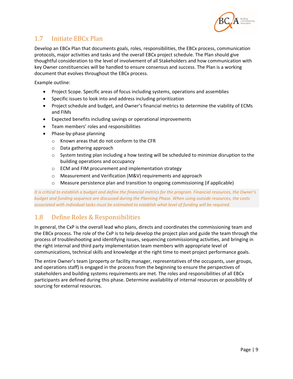

## 1.7 Initiate EBCx Plan

Develop an EBCx Plan that documents goals, roles, responsibilities, the EBCx process, communication protocols, major activities and tasks and the overall EBCx project schedule. The Plan should give thoughtful consideration to the level of involvement of all Stakeholders and how communication with key Owner constituencies will be handled to ensure consensus and success. The Plan is a working document that evolves throughout the EBCx process.

Example outline:

- Project Scope. Specific areas of focus including systems, operations and assemblies
- Specific issues to look into and address including prioritization
- Project schedule and budget, and Owner's financial metrics to determine the viability of ECMs and FIMs
- Expected benefits including savings or operational improvements
- Team members' roles and responsibilities
- Phase‐by‐phase planning
	- o Known areas that do not conform to the CFR
	- o Data gathering approach
	- $\circ$  System testing plan including a how testing will be scheduled to minimize disruption to the building operations and occupancy
	- o ECM and FIM procurement and implementation strategy
	- o Measurement and Verification (M&V) requirements and approach
	- $\circ$  Measure persistence plan and transition to ongoing commissioning (if applicable)

*It is critical to establish a budget and define the financial metrics for the program. Financial resources, the Owner's budget and funding sequence are discussed during the Planning Phase. When using outside resources, the costs associated with individual tasks must be estimated to establish what level of funding will be required.* 

## 1.8 Define Roles & Responsibilities

In general, the CxP is the overall lead who plans, directs and coordinates the commissioning team and the EBCx process. The role of the CxP is to help develop the project plan and guide the team through the process of troubleshooting and identifying issues, sequencing commissioning activities, and bringing in the right internal and third party implementation team members with appropriate level of communications, technical skills and knowledge at the right time to meet project performance goals.

The entire Owner's team (property or facility manager, representatives of the occupants, user groups, and operations staff) is engaged in the process from the beginning to ensure the perspectives of stakeholders and building systems requirements are met. The roles and responsibilities of all EBCx participants are defined during this phase. Determine availability of internal resources or possibility of sourcing for external resources.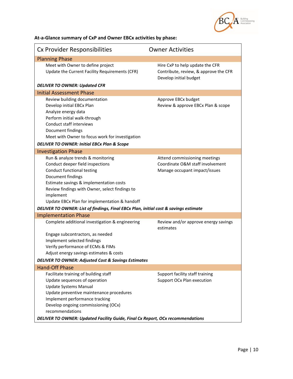

**At‐a‐Glance summary of CxP and Owner EBCx activities by phase:** 

| Cx Provider Responsibilities                                                                                                                                                                                                                                                                                                                                                                               | <b>Owner Activities</b>                                                                            |
|------------------------------------------------------------------------------------------------------------------------------------------------------------------------------------------------------------------------------------------------------------------------------------------------------------------------------------------------------------------------------------------------------------|----------------------------------------------------------------------------------------------------|
| <b>Planning Phase</b>                                                                                                                                                                                                                                                                                                                                                                                      |                                                                                                    |
| Meet with Owner to define project<br>Update the Current Facility Requirements (CFR)                                                                                                                                                                                                                                                                                                                        | Hire CxP to help update the CFR<br>Contribute, review, & approve the CFR<br>Develop initial budget |
| <b>DELIVER TO OWNER: Updated CFR</b>                                                                                                                                                                                                                                                                                                                                                                       |                                                                                                    |
| <b>Initial Assessment Phase</b>                                                                                                                                                                                                                                                                                                                                                                            |                                                                                                    |
| Review building documentation<br>Develop initial EBCx Plan<br>Analyze energy data<br>Perform initial walk-through<br>Conduct staff interviews<br>Document findings<br>Meet with Owner to focus work for investigation                                                                                                                                                                                      | Approve EBCx budget<br>Review & approve EBCx Plan & scope                                          |
| <b>DELIVER TO OWNER: Initial EBCx Plan &amp; Scope</b>                                                                                                                                                                                                                                                                                                                                                     |                                                                                                    |
| <b>Investigation Phase</b>                                                                                                                                                                                                                                                                                                                                                                                 |                                                                                                    |
| Run & analyze trends & monitoring<br>Conduct deeper field inspections<br>Conduct functional testing<br>Document findings<br>Estimate savings & implementation costs<br>Review findings with Owner, select findings to<br>implement<br>Update EBCx Plan for implementation & handoff<br>DELIVER TO OWNER: List of findings, Final EBCx Plan, initial cost & savings estimate<br><b>Implementation Phase</b> | Attend commissioning meetings<br>Coordinate O&M staff involvement<br>Manage occupant impact/issues |
| Complete additional investigation & engineering<br>Engage subcontractors, as needed<br>Implement selected findings<br>Verify performance of ECMs & FIMs                                                                                                                                                                                                                                                    | Review and/or approve energy savings<br>estimates                                                  |
| Adjust energy savings estimates & costs                                                                                                                                                                                                                                                                                                                                                                    |                                                                                                    |
| <b>DELIVER TO OWNER: Adjusted Cost &amp; Savings Estimates</b>                                                                                                                                                                                                                                                                                                                                             |                                                                                                    |
| <b>Hand-Off Phase</b>                                                                                                                                                                                                                                                                                                                                                                                      |                                                                                                    |
| Facilitate training of building staff<br>Update sequences of operation<br><b>Update Systems Manual</b><br>Update preventive maintenance procedures<br>Implement performance tracking<br>Develop ongoing commissioning (OCx)<br>recommendations                                                                                                                                                             | Support facility staff training<br>Support OCx Plan execution                                      |
| <b>DELIVER TO OWNER: Updated Facility Guide, Final Cx Report, OCx recommendations</b>                                                                                                                                                                                                                                                                                                                      |                                                                                                    |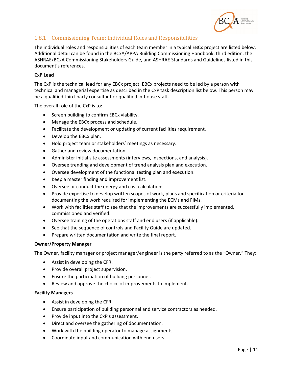

#### 1.8.1 Commissioning Team: Individual Roles and Responsibilities

The individual roles and responsibilities of each team member in a typical EBCx project are listed below. Additional detail can be found in the BCxA/APPA Building Commissioning Handbook, third edition, the ASHRAE/BCxA Commissioning Stakeholders Guide, and ASHRAE Standards and Guidelines listed in this document's references.

#### **CxP Lead**

The CxP is the technical lead for any EBCx project. EBCx projects need to be led by a person with technical and managerial expertise as described in the CxP task description list below. This person may be a qualified third‐party consultant or qualified in‐house staff.

The overall role of the CxP is to:

- Screen building to confirm EBCx viability.
- Manage the EBCx process and schedule.
- Facilitate the development or updating of current facilities requirement.
- Develop the EBCx plan.
- Hold project team or stakeholders' meetings as necessary.
- Gather and review documentation.
- Administer initial site assessments (interviews, inspections, and analysis).
- Oversee trending and development of trend analysis plan and execution.
- Oversee development of the functional testing plan and execution.
- Keep a master finding and improvement list.
- Oversee or conduct the energy and cost calculations.
- Provide expertise to develop written scopes of work, plans and specification or criteria for documenting the work required for implementing the ECMs and FIMs.
- Work with facilities staff to see that the improvements are successfully implemented, commissioned and verified.
- Oversee training of the operations staff and end users (if applicable).
- See that the sequence of controls and Facility Guide are updated.
- Prepare written documentation and write the final report.

#### **Owner/Property Manager**

The Owner, facility manager or project manager/engineer is the party referred to as the "Owner." They:

- Assist in developing the CFR.
- Provide overall project supervision.
- Ensure the participation of building personnel.
- Review and approve the choice of improvements to implement.

#### **Facility Managers**

- Assist in developing the CFR.
- Ensure participation of building personnel and service contractors as needed.
- Provide input into the CxP's assessment.
- Direct and oversee the gathering of documentation.
- Work with the building operator to manage assignments.
- Coordinate input and communication with end users.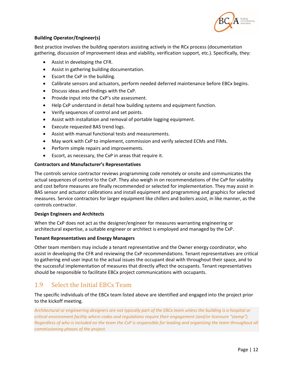

#### **Building Operator/Engineer(s)**

Best practice involves the building operators assisting actively in the RCx process (documentation gathering, discussion of improvement ideas and viability, verification support, etc.). Specifically, they:

- Assist in developing the CFR.
- Assist in gathering building documentation.
- Escort the CxP in the building.
- Calibrate sensors and actuators, perform needed deferred maintenance before EBCx begins.
- Discuss ideas and findings with the CxP.
- Provide input into the CxP's site assessment.
- Help CxP understand in detail how building systems and equipment function.
- Verify sequences of control and set points.
- Assist with installation and removal of portable logging equipment.
- Execute requested BAS trend logs.
- Assist with manual functional tests and measurements.
- May work with CxP to implement, commission and verify selected ECMs and FIMs.
- Perform simple repairs and improvements.
- Escort, as necessary, the CxP in areas that require it.

#### **Contractors and Manufacturer's Representatives**

The controls service contractor reviews programming code remotely or onsite and communicates the actual sequences of control to the CxP. They also weigh in on recommendations of the CxP for viability and cost before measures are finally recommended or selected for implementation. They may assist in BAS sensor and actuator calibrations and install equipment and programming and graphics for selected measures. Service contractors for larger equipment like chillers and boilers assist, in like manner, as the controls contractor.

#### **Design Engineers and Architects**

When the CxP does not act as the designer/engineer for measures warranting engineering or architectural expertise, a suitable engineer or architect is employed and managed by the CxP.

#### **Tenant Representatives and Energy Managers**

Other team members may include a tenant representative and the Owner energy coordinator, who assist in developing the CFR and reviewing the CxP recommendations. Tenant representatives are critical to gathering end user input to the actual issues the occupant deal with throughout their space, and to the successful implementation of measures that directly affect the occupants. Tenant representatives should be responsible to facilitate EBCx project communications with occupants.

#### 1.9 Select the Initial EBCx Team

The specific individuals of the EBCx team listed above are identified and engaged into the project prior to the kickoff meeting.

*Architectural or engineering designers are not typically part of the EBCx team unless the building is a hospital or critical environment facility where codes and regulations require their engagement (and/or licensure "stamp"). Regardless of who is included on the team the CxP is responsible for leading and organizing the team throughout all commissioning phases of the project.*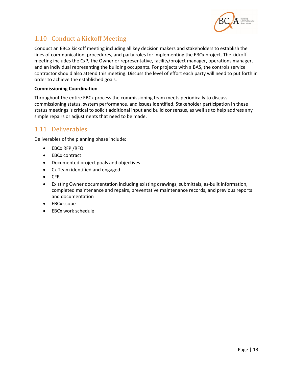

# 1.10 Conduct a Kickoff Meeting

Conduct an EBCx kickoff meeting including all key decision makers and stakeholders to establish the lines of communication, procedures, and party roles for implementing the EBCx project. The kickoff meeting includes the CxP, the Owner or representative, facility/project manager, operations manager, and an individual representing the building occupants. For projects with a BAS, the controls service contractor should also attend this meeting. Discuss the level of effort each party will need to put forth in order to achieve the established goals.

#### **Commissioning Coordination**

Throughout the entire EBCx process the commissioning team meets periodically to discuss commissioning status, system performance, and issues identified. Stakeholder participation in these status meetings is critical to solicit additional input and build consensus, as well as to help address any simple repairs or adjustments that need to be made.

## 1.11 Deliverables

Deliverables of the planning phase include:

- EBCx RFP /RFQ
- EBCx contract
- Documented project goals and objectives
- Cx Team identified and engaged
- CFR
- Existing Owner documentation including existing drawings, submittals, as‐built information, completed maintenance and repairs, preventative maintenance records, and previous reports and documentation
- EBCx scope
- EBCx work schedule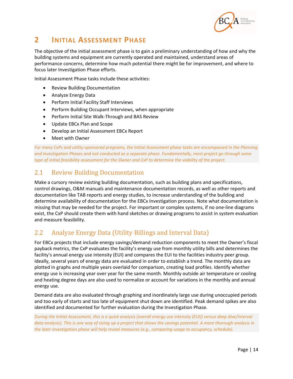

# **2 INITIAL ASSESSMENT PHASE**

The objective of the initial assessment phase is to gain a preliminary understanding of how and why the building systems and equipment are currently operated and maintained, understand areas of performance concerns, determine how much potential there might be for improvement, and where to focus later Investigation Phase efforts.

Initial Assessment Phase tasks include these activities:

- Review Building Documentation
- Analyze Energy Data
- Perform Initial Facility Staff Interviews
- Perform Building Occupant Interviews, when appropriate
- Perform Initial Site Walk-Through and BAS Review
- Update EBCx Plan and Scope
- Develop an Initial Assessment EBCx Report
- Meet with Owner

*For many CxPs and utility‐sponsored programs, the Initial Assessment phase tasks are encompassed in the Planning and Investigation Phases and not conducted as a separate phase. Fundamentally, most project go through some type of initial feasibility assessment for the Owner and CxP to determine the viability of the project.* 

### 2.1 Review Building Documentation

Make a cursory review existing building documentation, such as building plans and specifications, control drawings, O&M manuals and maintenance documentation records, as well as other reports and documentation like TAB reports and energy studies, to increase understanding of the building and determine availability of documentation for the EBCx Investigation process. Note what documentation is missing that may be needed for the project. For important or complex systems, if no one‐line diagrams exist, the CxP should create them with hand sketches or drawing programs to assist in system evaluation and measure feasibility.

## 2.2 Analyze Energy Data (Utility Billings and Interval Data)

For EBCx projects that include energy savings/demand reduction components to meet the Owner's fiscal payback metrics, the CxP evaluates the facility's energy use from monthly utility bills and determines the facility's annual energy use intensity (EUI) and compares the EUI to the facilities industry peer group. Ideally, several years of energy data are evaluated in order to establish a trend. The monthly data are plotted in graphs and multiple years overlaid for comparison, creating load profiles. Identify whether energy use is increasing year over year for the same month. Monthly outside air temperature or cooling and heating degree days are also used to normalize or account for variations in the monthly and annual energy use.

Demand data are also evaluated through graphing and inordinately large use during unoccupied periods and too early of starts and too late of equipment shut down are identified. Peak demand spikes are also identified and documented for further evaluation during the Investigation Phase.

*During the Initial Assessment, this is a quick analysis (overall energy use intensity (EUI)) versus deep dive/interval data analysis). This is one way of sizing up a project that shows the savings potential. A more thorough analysis in the later investigation phase will help reveal measures (e.g., comparing usage to occupancy, schedule).*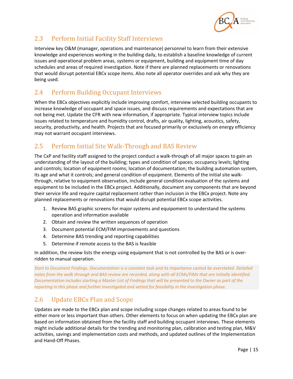

# 2.3 Perform Initial Facility Staff Interviews

Interview key O&M (manager, operations and maintenance) personnel to learn from their extensive knowledge and experiences working in the building daily, to establish a baseline knowledge of current issues and operational problem areas, systems or equipment, building and equipment time of day schedules and areas of required investigation. Note if there are planned replacements or renovations that would disrupt potential EBCx scope items. Also note all operator overrides and ask why they are being used.

## 2.4 Perform Building Occupant Interviews

When the EBCx objectives explicitly include improving comfort, interview selected building occupants to increase knowledge of occupant and space issues, and discuss requirements and expectations that are not being met. Update the CFR with new information, if appropriate. Typical interview topics include issues related to temperature and humidity control, drafts, air quality, lighting, acoustics, safety, security, productivity, and health. Projects that are focused primarily or exclusively on energy efficiency may not warrant occupant interviews.

# 2.5 Perform Initial Site Walk-Through and BAS Review

The CxP and facility staff assigned to the project conduct a walk‐through of all major spaces to gain an understanding of the layout of the building; types and condition of spaces; occupancy levels; lighting and controls; location of equipment rooms; location of documentation; the building automation system, its age and what it controls; and general condition of equipment. Elements of the initial site walk‐ through, relative to equipment observation, include general condition evaluation of the systems and equipment to be included in the EBCx project. Additionally, document any components that are beyond their service life and require capital replacement rather than inclusion in the EBCx project. Note any planned replacements or renovations that would disrupt potential EBCx scope activities.

- 1. Review BAS graphic screens for major systems and equipoment to understand the systems operation and information available
- 2. Obtain and review the written sequences of operation
- 3. Document potential ECM/FIM improvements and questions
- 4. Determine BAS trending and reporting capabilities
- 5. Determine if remote access to the BAS is feasible

In addition, the review lists the energy using equipment that is not controlled by the BAS or is over‐ ridden to manual operation.

*Start to Document Findings. Documentation is a constant task and its importance cannot be overstated. Detailed notes from the walk through and BAS review are recorded, along with all ECMs/FIMs that are initially identified. Documentation includes starting a Master List of Findings that will be presented to the Owner as part of the reporting in this phase and further investigated and vetted for feasibility in the investigation phase.* 

# 2.6 Update EBCx Plan and Scope

Updates are made to the EBCx plan and scope including scope changes related to areas found to be either more or less important than others. Other elements to focus on when updating the EBCx plan are based on information obtained from the facility staff and building occupant interviews. These elements might include additional details for the trending and monitoring plan, calibration and testing plan, M&V activities, savings and implementation costs and methods, and updated outlines of the Implementation and Hand‐Off Phases.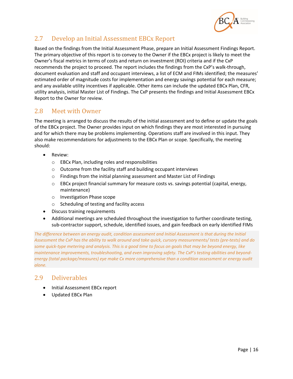

## 2.7 Develop an Initial Assessment EBCx Report

Based on the findings from the Initial Assessment Phase, prepare an Initial Assessment Findings Report. The primary objective of this report is to convey to the Owner if the EBCx project is likely to meet the Owner's fiscal metrics in terms of costs and return on investment (ROI) criteria and if the CxP recommends the project to proceed. The report includes the findings from the CxP's walk‐through, document evaluation and staff and occupant interviews, a list of ECM and FIMs identified; the measures' estimated order of magnitude costs for implementation and energy savings potential for each measure; and any available utility incentives if applicable. Other items can include the updated EBCx Plan, CFR, utility analysis, initial Master List of Findings. The CxP presents the findings and Initial Assessment EBCx Report to the Owner for review.

### 2.8 Meet with Owner

The meeting is arranged to discuss the results of the initial assessment and to define or update the goals of the EBCx project. The Owner provides input on which findings they are most interested in pursuing and for which there may be problems implementing. Operations staff are involved in this input. They also make recommendations for adjustments to the EBCx Plan or scope. Specifically, the meeting should:

- Review:
	- o EBCx Plan, including roles and responsibilities
	- o Outcome from the facility staff and building occupant interviews
	- o Findings from the initial planning assessment and Master List of Findings
	- $\circ$  EBCx project financial summary for measure costs vs. savings potential (capital, energy, maintenance)
	- o Investigation Phase scope
	- o Scheduling of testing and facility access
- Discuss training requirements
- Additional meetings are scheduled throughout the investigation to further coordinate testing, sub‐contractor support, schedule, identified issues, and gain feedback on early identified FIMs

*The difference between an energy audit, condition assessment and Initial Assessment is that during the Initial Assessment the CxP has the ability to walk around and take quick, cursory measurements/ tests (pre‐tests) and do some quick‐type metering and analysis. This is a good time to focus on goals that may be beyond energy, like maintenance improvements, troubleshooting, and even improving safety. The CxP's testing abilities and beyond‐ energy (total package/measures) eye make Cx more comprehensive than a condition assessment or energy audit alone.* 

#### 2.9 Deliverables

- Initial Assessment EBCx report
- Updated EBCx Plan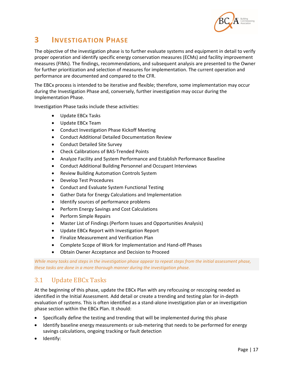

# **3 INVESTIGATION PHASE**

The objective of the investigation phase is to further evaluate systems and equipment in detail to verify proper operation and identify specific energy conservation measures (ECMs) and facility improvement measures (FIMs). The findings, recommendations, and subsequent analysis are presented to the Owner for further prioritization and selection of measures for implementation. The current operation and performance are documented and compared to the CFR.

The EBCx process is intended to be iterative and flexible; therefore, some implementation may occur during the Investigation Phase and, conversely, further investigation may occur during the Implementation Phase.

Investigation Phase tasks include these activities:

- Update EBCx Tasks
- Update EBCx Team
- Conduct Investigation Phase Kickoff Meeting
- Conduct Additional Detailed Documentation Review
- Conduct Detailed Site Survey
- Check Calibrations of BAS-Trended Points
- Analyze Facility and System Performance and Establish Performance Baseline
- Conduct Additional Building Personnel and Occupant Interviews
- Review Building Automation Controls System
- Develop Test Procedures
- Conduct and Evaluate System Functional Testing
- Gather Data for Energy Calculations and Implementation
- Identify sources of performance problems
- **•** Perform Energy Savings and Cost Calculations
- Perform Simple Repairs
- Master List of Findings (Perform Issues and Opportunities Analysis)
- Update EBCx Report with Investigation Report
- Finalize Measurement and Verification Plan
- Complete Scope of Work for Implementation and Hand-off Phases
- Obtain Owner Acceptance and Decision to Proceed

*While many tasks and steps in the investigation phase appear to repeat steps from the initial assessment phase, these tasks are done in a more thorough manner during the investigation phase.* 

### 3.1 Update EBCx Tasks

At the beginning of this phase, update the EBCx Plan with any refocusing or rescoping needed as identified in the Initial Assessment. Add detail or create a trending and testing plan for in‐depth evaluation of systems. This is often identified as a stand‐alone investigation plan or an investigation phase section within the EBCx Plan. It should:

- Specifically define the testing and trending that will be implemented during this phase
- Identify baseline energy measurements or sub-metering that needs to be performed for energy savings calculations, ongoing tracking or fault detection
- Identify: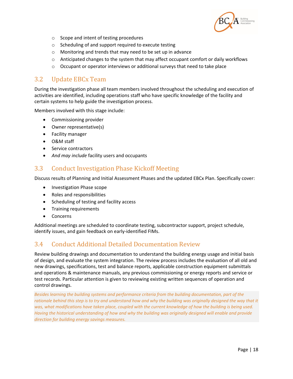

- o Scope and intent of testing procedures
- o Scheduling of and support required to execute testing
- o Monitoring and trends that may need to be set up in advance
- $\circ$  Anticipated changes to the system that may affect occupant comfort or daily workflows
- $\circ$  Occupant or operator interviews or additional surveys that need to take place

#### 3.2 Update EBCx Team

During the investigation phase all team members involved throughout the scheduling and execution of activities are identified, including operations staff who have specific knowledge of the facility and certain systems to help guide the investigation process.

Members involved with this stage include:

- Commissioning provider
- Owner representative(s)
- **•** Facility manager
- O&M staff
- Service contractors
- *And may include* facility users and occupants

#### 3.3 Conduct Investigation Phase Kickoff Meeting

Discuss results of Planning and Initial Assessment Phases and the updated EBCx Plan. Specifically cover:

- Investigation Phase scope
- Roles and responsibilities
- Scheduling of testing and facility access
- Training requirements
- Concerns

Additional meetings are scheduled to coordinate testing, subcontractor support, project schedule, identify issues, and gain feedback on early‐identified FIMs.

### 3.4 Conduct Additional Detailed Documentation Review

Review building drawings and documentation to understand the building energy usage and initial basis of design, and evaluate the system integration. The review process includes the evaluation of all old and new drawings, specifications, test and balance reports, applicable construction equipment submittals and operations & maintenance manuals, any previous commissioning or energy reports and service or test records. Particular attention is given to reviewing existing written sequences of operation and control drawings.

*Besides learning the building systems and performance criteria from the building documentation, part of the*  rationale behind this step is to try and understand how and why the building was originally designed the way that it was, what modifications have taken place, coupled with the current knowledge of how the building is being used. *Having the historical understanding of how and why the building was originally designed will enable and provide direction for building energy savings measures.*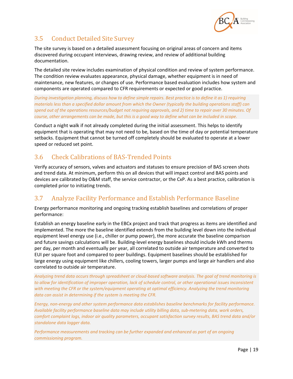

# 3.5 Conduct Detailed Site Survey

The site survey is based on a detailed assessment focusing on original areas of concern and items discovered during occupant interviews, drawing review, and review of additional building documentation.

The detailed site review includes examination of physical condition and review of system performance. The condition review evaluates appearance, physical damage, whether equipment is in need of maintenance, new features, or changes of use. Performance based evaluation includes how system and components are operated compared to CFR requirements or expected or good practice.

*During investigation planning, discuss how to define simple repairs. Best practice is to define it as 1) requiring materials less than a specified dollar amount from which the Owner (typically the building operations staff) can spend out of the operations resources/budget not requiring approvals, and 2) time to repair over 30 minutes. Of course, other arrangements can be made, but this is a good way to define what can be included in scope.* 

Conduct a night walk if not already completed during the initial assessment. This helps to identify equipment that is operating that may not need to be, based on the time of day or potential temperature setbacks. Equipment that cannot be turned off completely should be evaluated to operate at a lower speed or reduced set point.

# 3.6 Check Calibrations of BAS-Trended Points

Verify accuracy of sensors, valves and actuators and statuses to ensure precision of BAS screen shots and trend data. At minimum, perform this on all devices that will impact control and BAS points and devices are calibrated by O&M staff, the service contractor, or the CxP. As a best practice, calibration is completed prior to initiating trends.

## 3.7 Analyze Facility Performance and Establish Performance Baseline

Energy performance monitoring and ongoing tracking establish baselines and correlations of proper performance:

Establish an energy baseline early in the EBCx project and track that progress as items are identified and implemented. The more the baseline identified extends from the building level down into the individual equipment level energy use (i.e., chiller or pump power), the more accurate the baseline comparison and future savings calculations will be. Building-level energy baselines should include kWh and therms per day, per month and eventually per year, all correlated to outside air temperature and converted to EUI per square foot and compared to peer buildings. Equipment baselines should be established for large energy using equipment like chillers, cooling towers, larger pumps and large air handlers and also correlated to outside air temperature.

*Analyzing trend data occurs through spreadsheet or cloud‐based software analysis. The goal of trend monitoring is to allow for identification of improper operation, lack of schedule control, or other operational issues inconsistent with meeting the CFR or the system/equipment operating at optimal efficiency. Analyzing the trend monitoring data can assist in determining if the system is meeting the CFR.* 

*Energy, non‐energy and other system performance data establishes baseline benchmarks for facility performance. Available facility performance baseline data may include utility billing data, sub‐metering data, work orders, comfort complaint logs, indoor air quality parameters, occupant satisfaction survey results, BAS trend data and/or standalone data logger data.* 

*Performance measurements and tracking can be further expanded and enhanced as part of an ongoing commissioning program.*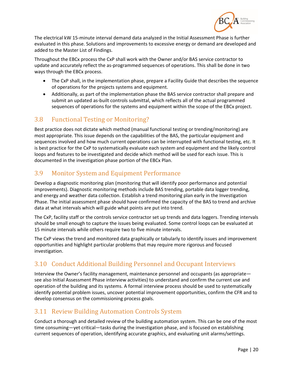

The electrical kW 15‐minute interval demand data analyzed in the Initial Assessment Phase is further evaluated in this phase. Solutions and improvements to excessive energy or demand are developed and added to the Master List of Findings.

Throughout the EBCx process the CxP shall work with the Owner and/or BAS service contractor to update and accurately reflect the as‐programmed sequences of operations. This shall be done in two ways through the EBCx process.

- The CxP shall, in the implementation phase, prepare a Facility Guide that describes the sequence of operations for the projects systems and equipment.
- Additionally, as part of the implementation phase the BAS service contractor shall prepare and submit an updated as‐built controls submittal, which reflects all of the actual programmed sequences of operations for the systems and equipment within the scope of the EBCx project.

## 3.8 Functional Testing or Monitoring?

Best practice does not dictate which method (manual functional testing or trending/monitoring) are most appropriate. This issue depends on the capabilities of the BAS, the particular equipment and sequences involved and how much current operations can be interrupted with functional testing, etc. It is best practice for the CxP to systematically evaluate each system and equipment and the likely control loops and features to be investigated and decide which method will be used for each issue. This is documented in the investigation phase portion of the EBCx Plan.

## 3.9 Monitor System and Equipment Performance

Develop a diagnostic monitoring plan (monitoring that will identify poor performance and potential improvements). Diagnostic monitoring methods include BAS trending, portable data logger trending, and energy and weather data collection. Establish a trend monitoring plan early in the Investigation Phase. The initial assessment phase should have confirmed the capacity of the BAS to trend and archive data at what intervals which will guide what points are put into trend.

The CxP, facility staff or the controls service contractor set up trends and data loggers. Trending intervals should be small enough to capture the issues being evaluated. Some control loops can be evaluated at 15 minute intervals while others require two to five minute intervals.

The CxP views the trend and monitored data graphically or tabularly to identify issues and improvement opportunities and highlight particular problems that may require more rigorous and focused investigation.

# 3.10 Conduct Additional Building Personnel and Occupant Interviews

Interview the Owner's facility management, maintenance personnel and occupants (as appropriate see also Initial Assessment Phase interview activities) to understand and confirm the current use and operation of the building and its systems. A formal interview process should be used to systematically identify potential problem issues, uncover potential improvement opportunities, confirm the CFR and to develop consensus on the commissioning process goals.

# 3.11 Review Building Automation Controls System

Conduct a thorough and detailed review of the building automation system. This can be one of the most time consuming—yet critical—tasks during the investigation phase, and is focused on establishing current sequences of operation, identifying accurate graphics, and evaluating unit alarms/settings.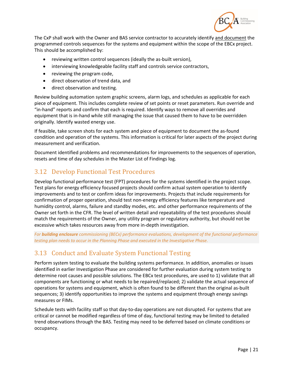

The CxP shall work with the Owner and BAS service contractor to accurately identify and document the programmed controls sequences for the systems and equipment within the scope of the EBCx project. This should be accomplished by:

- reviewing written control sequences (ideally the as-built version),
- interviewing knowledgeable facility staff and controls service contractors,
- reviewing the program code,
- direct observation of trend data, and
- direct observation and testing.

Review building automation system graphic screens, alarm logs, and schedules as applicable for each piece of equipment. This includes complete review of set points or reset parameters. Run override and "in‐hand" reports and confirm that each is required. Identify ways to remove all overrides and equipment that is in‐hand while still managing the issue that caused them to have to be overridden originally. Identify wasted energy use.

If feasible, take screen shots for each system and piece of equipment to document the as‐found condition and operation of the systems. This information is critical for later aspects of the project during measurement and verification.

Document identified problems and recommendations for improvements to the sequences of operation, resets and time of day schedules in the Master List of Findings log.

## 3.12 Develop Functional Test Procedures

Develop functional performance test (FPT) procedures for the systems identified in the project scope. Test plans for energy efficiency focused projects should confirm actual system operation to identify improvements and to test or confirm ideas for improvements. Projects that include requirements for confirmation of proper operation, should test non-energy efficiency features like temperature and humidity control, alarms, failure and standby modes, etc. and other performance requirements of the Owner set forth in the CFR. The level of written detail and repeatability of the test procedures should match the requirements of the Owner, any utility program or regulatory authority, but should not be excessive which takes resources away from more in‐depth investigation.

*For building enclosure commissioning (BECx) performance evaluations, development of the functional performance testing plan needs to occur in the Planning Phase and executed in the Investigative Phase.* 

### 3.13 Conduct and Evaluate System Functional Testing

Perform system testing to evaluate the building systems performance. In addition, anomalies or issues identified in earlier Investigation Phase are considered for further evaluation during system testing to determine root causes and possible solutions. The EBCx test procedures, are used to 1) validate that all components are functioning or what needs to be repaired/replaced; 2) validate the actual sequence of operations for systems and equipment, which is often found to be different than the original as‐built sequences; 3) identify opportunities to improve the systems and equipment through energy savings measures or FIMs.

Schedule tests with facility staff so that day‐to‐day operations are not disrupted. For systems that are critical or cannot be modified regardless of time of day, functional testing may be limited to detailed trend observations through the BAS. Testing may need to be deferred based on climate conditions or occupancy.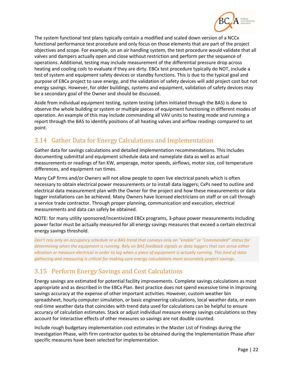

The system functional test plans typically contain a modified and scaled down version of a NCCx functional performance test procedure and only focus on those elements that are part of the project objectives and scope. For example, on an air handling system, the test procedure would validate that all valves and dampers actually open and close without restriction and perform per the sequence of operations. Additional, testing may include measurement of the differential pressure drop across heating and cooling coils to evaluate if they are dirty. EBCx test procedure typically do NOT, include a test of system and equipment safety devices or standby functions. This is due to the typical goal and purpose of EBCx project to save energy, and the validation of safety devices will add project cost but not energy savings. However, for older buildings, systems and equipment, validation of safety devices may be a secondary goal of the Owner and should be discussed.

Aside from individual equipment testing, system testing (often initiated through the BAS) is done to observe the whole building or system or multiple pieces of equipment functioning in different modes of operation. An example of this may include commanding all VAV units to heating mode and running a report through the BAS to identify positions of all heating valves and airflow readings compared to set point.

# 3.14 Gather Data for Energy Calculations and Implementation

Gather data for savings calculations and detailed implementation recommendations. This includes documenting submittal and equipment schedule data and nameplate data as well as actual measurements or readings of fan KW, amperage, motor speeds, airflows, motor size, coil temperature differences, and equipment run times.

Many CxP firms and/or Owners will not allow people to open live electrical panels which is often necessary to obtain electrical power measurements or to install data loggers; CxPs need to outline and electrical data measurement plan with the Owner for the project and how these measurements or data logger installations can be achieved. Many Owners have licensed electricians on staff or on call through a service trade contractor. Through proper planning, communication and execution, electrical measurements and data can safely be obtained.

NOTE: for many utility sponsored/incentivized EBCx programs, 3‐phase power measurements including power factor must be actually measured for all energy savings measures that exceed a certain electrical energy savings threshold.

*Don't rely only an occupancy schedule or a BAS trend that conveys only an "enable" or "commanded" status for determining when the equipment is running. Rely on BAS feedback signals or data loggers that can sense either vibration or measure electrical in order to log when a piece of equipment is actually running. This kind of data gathering and measuring is critical for making sure energy calculations more accurately project savings.* 

# 3.15 Perform Energy Savings and Cost Calculations

Energy savings are estimated for potential facility improvements. Complete savings calculations as most appropriate and as described in the EBCx Plan. Best practice does not spend excessive time in improving savings accuracy at the expense of other important activities. However, custom weather bin spreadsheet, hourly computer simulation, or basic engineering calculations, local weather data, or even real‐time weather data that coincides with trend data used for calculations can be helpful to ensure accuracy of calculation estimates. Stack or adjust individual measure energy savings calculations so they account for interactive effects of other measures so savings are not double counted.

Include rough budgetary implementation cost estimates in the Master List of Findings during the Investigation Phase, with firm contractor quotes to be obtained during the Implementation Phase after specific measures have been selected for implementation.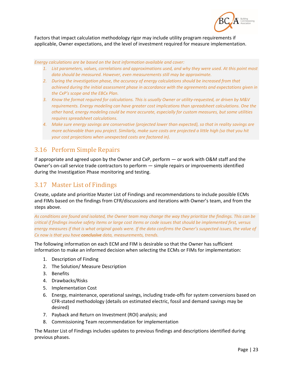

Factors that impact calculation methodology rigor may include utility program requirements if applicable, Owner expectations, and the level of investment required for measure implementation.

*Energy calculations are be based on the best information available and cover:* 

- *1. List parameters, values, correlations and approximations used, and why they were used. At this point most data should be measured. However, even measurements still may be approximate.*
- *2. During the investigation phase, the accuracy of energy calculations should be increased from that achieved during the initial assessment phase in accordance with the agreements and expectations given in the CxP's scope and the EBCx Plan.*
- *3. Know the format required for calculations. This is usually Owner or utility‐requested, or driven by M&V requirements. Energy modeling can have greater cost implications than spreadsheet calculations. One the other hand, energy modeling could be more accurate, especially for custom measures, but some utilities requires spreadsheet calculations.*
- *4. Make sure energy savings are conservative (projected lower than expected), so that in reality savings are more achievable than you project. Similarly, make sure costs are projected a little high (so that you hit your cost projections when unexpected costs are factored in).*

## 3.16 Perform Simple Repairs

If appropriate and agreed upon by the Owner and CxP, perform — or work with O&M staff and the Owner's on-call service trade contractors to perform — simple repairs or improvements identified during the Investigation Phase monitoring and testing.

## 3.17 Master List of Findings

Create, update and prioritize Master List of Findings and recommendations to include possible ECMs and FIMs based on the findings from CFR/discussions and iterations with Owner's team, and from the steps above.

*As conditions are found and isolated, the Owner team may change the way they prioritize the findings. This can be critical if findings involve safety items or large cost items or code issues that should be implemented first, versus energy measures if that is what original goals were. If the data confirms the Owner's suspected issues, the value of Cx now is that you have conclusive data, measurements, trends.* 

The following information on each ECM and FIM is desirable so that the Owner has sufficient information to make an informed decision when selecting the ECMs or FIMs for implementation:

- 1. Description of Finding
- 2. The Solution/ Measure Description
- 3. Benefits
- 4. Drawbacks/Risks
- 5. Implementation Cost
- 6. Energy, maintenance, operational savings, including trade‐offs for system conversions based on CFR‐stated methodology (details on estimated electric, fossil and demand savings may be desired)
- 7. Payback and Return on Investment (ROI) analysis; and
- 8. Commissioning Team recommendation for implementation

The Master List of Findings includes updates to previous findings and descriptions identified during previous phases.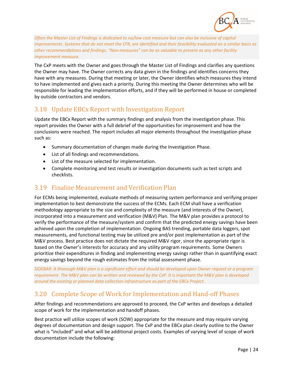

*Often the Master List of Findings is dedicated to no/low cost measure but can also be inclusive of capital improvements. Systems that do not meet the CFR, are identified and their feasibility evaluated on a similar basis as other recommendations and findings. "Non‐measures" can be as valuable to present as any other facility improvement measure.* 

The CxP meets with the Owner and goes through the Master List of Findings and clarifies any questions the Owner may have. The Owner corrects any data given in the findings and identifies concerns they have with any measures. During that meeting or later, the Owner identifies which measures they intend to have implemented and gives each a priority. During this meeting the Owner determines who will be responsible for leading the implementation efforts, and if they will be performed in house or completed by outside contractors and vendors.

## 3.18 Update EBCx Report with Investigation Report

Update the EBCx Report with the summary findings and analysis from the investigation phase. This report provides the Owner with a full debrief of the opportunities for improvement and how the conclusions were reached. The report includes all major elements throughout the investigation phase such as:

- Summary documentation of changes made during the Investigation Phase.
- List of all findings and recommendations.
- List of the measure selected for implementation.
- Complete monitoring and test results or investigation documents such as test scripts and checklists.

#### 3.19 Finalize Measurement and Verification Plan

For ECMs being implemented, evaluate methods of measuring system performance and verifying proper implementation to best demonstrate the success of the ECMs. Each ECM shall have a verification methodology appropriate to the size and complexity of the measure (and interests of the Owner), incorporated into a measurement and verification (M&V) Plan. The M&V plan provides a protocol to verify the performance of the measure/system and confirm that the predicted energy savings have been achieved upon the completion of implementation. Ongoing BAS trending, portable data loggers, spot measurements, and functional testing may be utilized pre and/or post implementation as part of the M&V process. Best practice does not dictate the required M&V rigor, since the appropriate rigor is based on the Owner's interests for accuracy and any utility program requirements. Some Owners prioritize their expenditures in finding and implementing energy savings rather than in quantifying exact energy savings beyond the rough estimates from the initial assessment phase.

*SIDEBAR: A thorough M&V plan is a significant effort and should be developed upon Owner request or a program requirement. The M&V plan can be written and reviewed by the CxP. It is important the M&V plan is developed around the existing or planned data collection infrastructure as part of the EBCx Project.* 

## 3.20 Complete Scope of Work for Implementation and Hand-off Phases

After findings and recommendations are approved to proceed, the CxP writes and develops a detailed scope of work for the implementation and handoff phases.

Best practice will utilize scopes of work (SOW) appropriate for the measure and may require varying degrees of documentation and design support. The CxP and the EBCx plan clearly outline to the Owner what is "included" and what will be additional project costs. Examples of varying level of scope of work documentation include the following: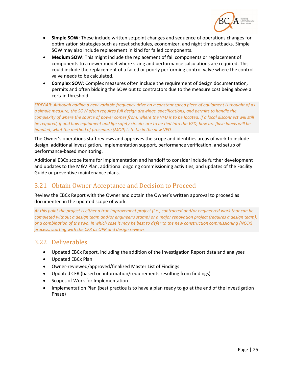

- **Simple SOW**: These include written setpoint changes and sequence of operations changes for optimization strategies such as reset schedules, economizer, and night time setbacks. Simple SOW may also include replacement in kind for failed components.
- **Medium SOW**: This might include the replacement of fail components or replacement of components to a newer model where sizing and performance calculations are required. This could include the replacement of a failed or poorly performing control valve where the control valve needs to be calculated.
- **Complex SOW**: Complex measures often include the requirement of design documentation, permits and often bidding the SOW out to contractors due to the measure cost being above a certain threshold.

*SIDEBAR: Although adding a new variable frequency drive on a constant speed piece of equipment is thought of as a simple measure, the SOW often requires full design drawings, specifications, and permits to handle the complexity of where the source of power comes from, where the VFD is to be located, if a local disconnect will still be required, if and how equipment and life safety circuits are to be tied into the VFD, how arc flash labels will be handled, what the method of procedure (MOP) is to tie in the new VFD.* 

The Owner's operations staff reviews and approves the scope and identifies areas of work to include design, additional investigation, implementation support, performance verification, and setup of performance‐based monitoring.

Additional EBCx scope items for implementation and handoff to consider include further development and updates to the M&V Plan, additional ongoing commissioning activities, and updates of the Facility Guide or preventive maintenance plans.

## 3.21 Obtain Owner Acceptance and Decision to Proceed

Review the EBCx Report with the Owner and obtain the Owner's written approval to proceed as documented in the updated scope of work.

*At this point the project is either a true improvement project (i.e., contracted and/or engineered work that can be completed without a design team and/or engineer's stamp) or a major renovation project (requires a design team), or a combination of the two, in which case it may be best to defer to the new construction commissioning (NCCx) process, starting with the CFR as OPR and design reviews.* 

#### 3.22 Deliverables

- Updated EBCx Report, including the addition of the Investigation Report data and analyses
- Updated EBCx Plan
- Owner-reviewed/approved/finalized Master List of Findings
- Updated CFR (based on information/requirements resulting from findings)
- Scopes of Work for Implementation
- Implementation Plan (best practice is to have a plan ready to go at the end of the Investigation Phase)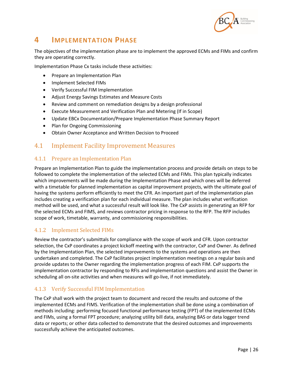

# **4 IMPLEMENTATION PHASE**

The objectives of the implementation phase are to implement the approved ECMs and FIMs and confirm they are operating correctly.

Implementation Phase Cx tasks include these activities:

- Prepare an Implementation Plan
- Implement Selected FIMs
- Verify Successful FIM Implementation
- Adjust Energy Savings Estimates and Measure Costs
- Review and comment on remediation designs by a design professional
- Execute Measurement and Verification Plan and Metering (If in Scope)
- Update EBCx Documentation/Prepare Implementation Phase Summary Report
- Plan for Ongoing Commissioning
- Obtain Owner Acceptance and Written Decision to Proceed

### 4.1 Implement Facility Improvement Measures

#### 4.1.1 Prepare an Implementation Plan

Prepare an Implementation Plan to guide the implementation process and provide details on steps to be followed to complete the implementation of the selected ECMs and FIMs. This plan typically indicates which improvements will be made during the Implementation Phase and which ones will be deferred with a timetable for planned implementation as capital improvement projects, with the ultimate goal of having the systems perform efficiently to meet the CFR. An important part of the implementation plan includes creating a verification plan for each individual measure. The plan includes what verification method will be used, and what a successful result will look like. The CxP assists in generating an RFP for the selected ECMs and FIMS, and reviews contractor pricing in response to the RFP. The RFP includes scope of work, timetable, warranty, and commissioning responsibilities.

#### 4.1.2 Implement Selected FIMs

Review the contractor's submittals for compliance with the scope of work and CFR. Upon contractor selection, the CxP coordinates a project kickoff meeting with the contractor, CxP and Owner. As defined by the Implementation Plan, the selected improvements to the systems and operations are then undertaken and completed. The CxP facilitates project implementation meetings on a regular basis and provide updates to the Owner regarding the implementation progress of each FIM. CxP supports the implementation contractor by responding to RFIs and implementation questions and assist the Owner in scheduling all on-site activities and when measures will go-live, if not immediately.

#### 4.1.3 Verify Successful FIM Implementation

The CxP shall work with the project team to document and record the results and outcome of the implemented ECMs and FIMS. Verification of the implementation shall be done using a combination of methods including: performing focused functional performance testing (FPT) of the implemented ECMs and FIMs, using a formal FPT procedure; analyzing utility bill data, analyzing BAS or data logger trend data or reports; or other data collected to demonstrate that the desired outcomes and improvements successfully achieve the anticipated outcomes.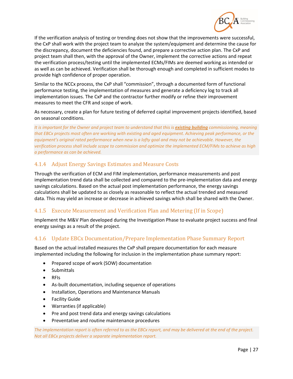

If the verification analysis of testing or trending does not show that the improvements were successful, the CxP shall work with the project team to analyze the system/equipment and determine the cause for the discrepancy, document the deficiencies found, and prepare a corrective action plan. The CxP and project team shall then, with the approval of the Owner, implement the corrective actions and repeat the verification process/testing until the implemented ECMs/FIMs are deemed working as intended or as well as can be achieved. Verification shall be thorough enough and completed in sufficient modes to provide high confidence of proper operation.

Similar to the NCCx process, the CxP shall "commission", through a documented form of functional performance testing, the implementation of measures and generate a deficiency log to track all implementation issues. The CxP and the contractor further modify or refine their improvement measures to meet the CFR and scope of work.

As necessary, create a plan for future testing of deferred capital improvement projects identified, based on seasonal conditions.

*It is important for the Owner and project team to understand that this is existing building commissioning, meaning that EBCx projects most often are working with existing and aged equipment. Achieving peak performance, or the equipment's original rated performance when new is a lofty goal and may not be achievable. However, the verification process shall include scope to commission and optimize the implemented ECM/FIMs to achieve as high a performance as can be achieved.* 

#### 4.1.4 Adjust Energy Savings Estimates and Measure Costs

Through the verification of ECM and FIM implementation, performance measurements and post implementation trend data shall be collected and compared to the pre-implementation data and energy savings calculations. Based on the actual post implementation performance, the energy savings calculations shall be updated to as closely as reasonable to reflect the actual trended and measured data. This may yield an increase or decrease in achieved savings which shall be shared with the Owner.

#### 4.1.5 Execute Measurement and Verification Plan and Metering (If in Scope)

Implement the M&V Plan developed during the Investigation Phase to evaluate project success and final energy savings as a result of the project.

#### 4.1.6 Update EBCx Documentation/Prepare Implementation Phase Summary Report

Based on the actual installed measures the CxP shall prepare documentation for each measure implemented including the following for inclusion in the implementation phase summary report:

- Prepared scope of work (SOW) documentation
- Submittals
- RFIs
- As-built documentation, including sequence of operations
- **•** Installation, Operations and Maintenance Manuals
- **•** Facility Guide
- Warranties (if applicable)
- Pre and post trend data and energy savings calculations
- Preventative and routine maintenance procedures

*The implementation report is often referred to as the EBCx report, and may be delivered at the end of the project. Not all EBCx projects deliver a separate implementation report.*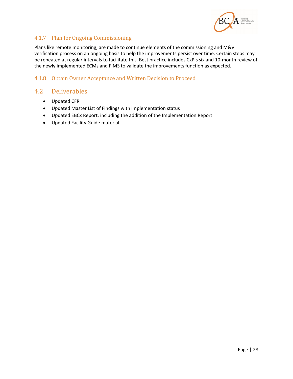

#### 4.1.7 Plan for Ongoing Commissioning

Plans like remote monitoring, are made to continue elements of the commissioning and M&V verification process on an ongoing basis to help the improvements persist over time. Certain steps may be repeated at regular intervals to facilitate this. Best practice includes CxP's six and 10-month review of the newly implemented ECMs and FIMS to validate the improvements function as expected.

#### 4.1.8 Obtain Owner Acceptance and Written Decision to Proceed

## 4.2 Deliverables

- Updated CFR
- Updated Master List of Findings with implementation status
- Updated EBCx Report, including the addition of the Implementation Report
- Updated Facility Guide material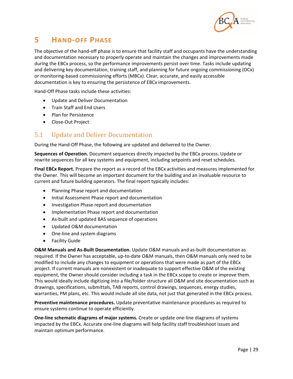

# **5 HAND‐OFF PHASE**

The objective of the hand-off phase is to ensure that facility staff and occupants have the understanding and documentation necessary to properly operate and maintain the changes and improvements made during the EBCx process, so the performance improvements persist over time. Tasks include updating and delivering key documentation, training staff, and planning for future ongoing commissioning (OCx) or monitoring‐based commissioning efforts (MBCx). Clear, accurate, and easily accessible documentation is key to ensuring the persistence of EBCx improvements.

Hand‐Off Phase tasks include these activities:

- Update and Deliver Documentation
- **•** Train Staff and End Users
- Plan for Persistence
- Close-Out Project

### 5.1 Update and Deliver Documentation

During the Hand‐Off Phase, the following are updated and delivered to the Owner.

**Sequences of Operation.** Document sequences directly impacted by the EBCx process. Update or rewrite sequences for all key systems and equipment, including setpoints and reset schedules.

**Final EBCx Report.** Prepare the report as a record of the EBCx activities and measures implemented for the Owner. This will become an important document for the building and an invaluable resource to current and future building operators. The final report typically includes:

- Planning Phase report and documentation
- Initial Assessment Phase report and documentation
- **•** Investigation Phase report and documentation
- Implementation Phase report and documentation
- As-built and updated BAS sequence of operations
- Updated O&M documentation
- One-line and system diagrams
- **•** Facility Guide

**O&M Manuals and As‐Built Documentation.** Update O&M manuals and as‐built documentation as required. If the Owner has acceptable, up‐to‐date O&M manuals, then O&M manuals only need to be modified to include any changes to equipment or operations that were made as part of the EBCx project. If current manuals are nonexistent or inadequate to support effective O&M of the existing equipment, the Owner should consider including a task in the EBCx scope to create or improve them. This would ideally include digitizing into a file/folder structure all O&M and site documentation such as drawings, specifications, submittals, TAB reports, control drawings, sequences, energy studies, warranties, PM plans, etc. This would include all site data, not just that generated in the EBCx process.

**Preventive maintenance procedures.** Update preventative maintenance procedures as required to ensure systems continue to operate efficiently.

**One‐line schematic diagrams of major systems.** Create or update one‐line diagrams of systems impacted by the EBCx. Accurate one‐line diagrams will help facility staff troubleshoot issues and maintain optimum performance.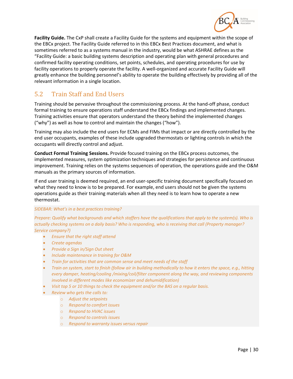

**Facility Guide.** The CxP shall create a Facility Guide for the systems and equipment within the scope of the EBCx project. The Facility Guide referred to in this EBCx Best Practices document, and what is sometimes referred to as a systems manual in the industry, would be what ASHRAE defines as the "Facility Guide: a basic building systems description and operating plan with general procedures and confirmed facility operating conditions, set points, schedules, and operating procedures for use by facility operations to properly operate the facility. A well‐organized and accurate Facility Guide will greatly enhance the building personnel's ability to operate the building effectively by providing all of the relevant information in a single location.

## 5.2 Train Staff and End Users

Training should be pervasive throughout the commissioning process. At the hand‐off phase, conduct formal training to ensure operations staff understand the EBCx findings and implemented changes. Training activities ensure that operators understand the theory behind the implemented changes ("why") as well as how to control and maintain the changes ("how").

Training may also include the end users for ECMs and FIMs that impact or are directly controlled by the end user occupants, examples of these include upgraded thermostats or lighting controls in which the occupants will directly control and adjust.

**Conduct Formal Training Sessions.** Provide focused training on the EBCx process outcomes, the implemented measures, system optimization techniques and strategies for persistence and continuous improvement. Training relies on the systems sequences of operation, the operations guide and the O&M manuals as the primary sources of information.

If end user training is deemed required, an end user‐specific training document specifically focused on what they need to know is to be prepared. For example, end users should not be given the systems operations guide as their training materials when all they need is to learn how to operate a new thermostat.

#### *SIDEBAR: What's in a best practices training?*

*Prepare: Qualify what backgrounds and which staffers have the qualifications that apply to the system(s). Who is actually checking systems on a daily basis? Who is responding, who is receiving that call (Property manager? Service company?)* 

- *Ensure that the right staff attend*
- *Create agendas*
- *Provide a Sign in/Sign Out sheet*
- *Include maintenance in training for O&M*
- *Train for activities that are common sense and meet needs of the staff*
- *Train on system, start to finish (follow air in building methodically to how it enters the space, e.g., hitting every damper, heating/cooling /mixing/coil/filter component along the way, and reviewing components involved in different modes like economizer and dehumidification)*
- *Visit top 5 or 10 things to check the equipment and/or the BAS on a regular basis.*
- *Review who gets the calls to:* 
	- o *Adjust the setpoints*
	- o *Respond to comfort issues*
	- o *Respond to HVAC issues*
	- o *Respond to controls issues*
	- o *Respond to warranty issues versus repair*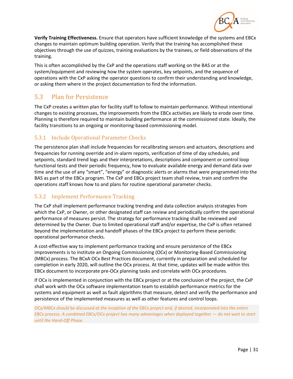

**Verify Training Effectiveness.** Ensure that operators have sufficient knowledge of the systems and EBCx changes to maintain optimum building operation. Verify that the training has accomplished these objectives through the use of quizzes, training evaluations by the trainees, or field observations of the training.

This is often accomplished by the CxP and the operations staff working on the BAS or at the system/equipment and reviewing how the system operates, key setpoints, and the sequence of operations with the CxP asking the operator questions to confirm their understanding and knowledge, or asking them where in the project documentation to find the information.

## 5.3 Plan for Persistence

The CxP creates a written plan for facility staff to follow to maintain performance. Without intentional changes to existing processes, the improvements from the EBCx activities are likely to erode over time. Planning is therefore required to maintain building performance at the commissioned state. Ideally, the facility transitions to an ongoing or monitoring‐based commissioning model.

#### 5.3.1 Include Operational Parameter Checks

The persistence plan shall include frequencies for recalibrating sensors and actuators, descriptions and frequencies for running override and in‐alarm reports, verification of time of day schedules, and setpoints, standard trend logs and their interpretations, descriptions and component or control loop functional tests and their periodic frequency, how to evaluate available energy and demand data over time and the use of any "smart", "energy" or diagnostic alerts or alarms that were programmed into the BAS as part of the EBCx program. The CxP and EBCx project team shall review, train and confirm the operations staff knows how to and plans for routine operational parameter checks.

#### 5.3.2 Implement Performance Tracking

The CxP shall implement performance tracking trending and data collection analysis strategies from which the CxP, or Owner, or other designated staff can review and periodically confirm the operational performance of measures persist. The strategy for performance tracking shall be reviewed and determined by the Owner. Due to limited operational staff and/or expertise, the CxP is often retained beyond the implementation and handoff phases of the EBCx project to perform these periodic operational performance checks.

A cost‐effective way to implement performance tracking and ensure persistence of the EBCx improvements is to institute an Ongoing Commissioning (OCx) or Monitoring-Based Commissioning (MBCx) process. The BCxA OCx Best Practices document, currently in preparation and scheduled for completion in early 2020, will outline the OCx process. At that time, updates will be made within this EBCx document to incorporate pre‐OCx planning tasks and correlate with OCx procedures.

If OCx is implemented in conjunction with the EBCx project or at the conclusion of the project, the CxP shall work with the OCx software implementation team to establish performance metrics for the systems and equipment as well as fault algorithms that measure, detect and verify the performance and persistence of the implemented measures as well as other features and control loops.

*OCx/MBCx should be discussed at the inception of the EBCx project and, if desired, incorporated into the entire EBCx process. A combined EBCx/OCx project has many advantages when deployed together — do not wait to start until the Hand‐Off Phase.*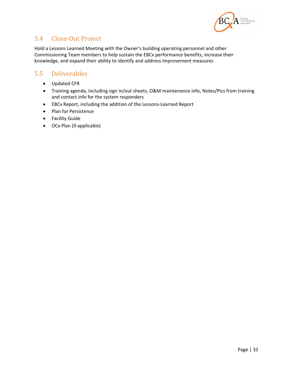

## 5.4 Close-Out Project

Hold a Lessons Learned Meeting with the Owner's building operating personnel and other Commissioning Team members to help sustain the EBCx performance benefits, increase their knowledge, and expand their ability to identify and address improvement measures

## 5.5 Deliverables

- Updated CFR
- Training agenda, including sign in/out sheets, O&M maintenance info, Notes/Pics from training and contact info for the system responders
- EBCx Report, including the addition of the Lessons‐Learned Report
- Plan for Persistence
- Facility Guide
- OCx Plan (if applicable)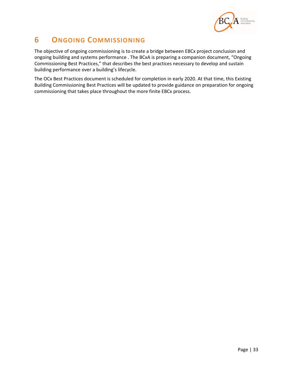

# **6 ONGOING COMMISSIONING**

The objective of ongoing commissioning is to create a bridge between EBCx project conclusion and ongoing building and systems performance . The BCxA is preparing a companion document, "Ongoing Commissioning Best Practices," that describes the best practices necessary to develop and sustain building performance over a building's lifecycle.

The OCx Best Practices document is scheduled for completion in early 2020. At that time, this Existing Building Commissioning Best Practices will be updated to provide guidance on preparation for ongoing commissioning that takes place throughout the more finite EBCx process.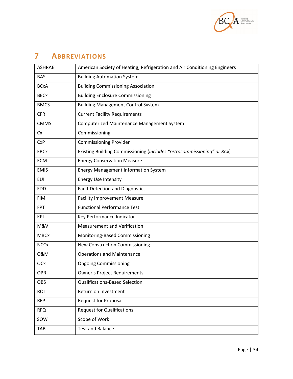

# **7 ABBREVIATIONS**

| American Society of Heating, Refrigeration and Air Conditioning Engineers |
|---------------------------------------------------------------------------|
| <b>Building Automation System</b>                                         |
| <b>Building Commissioning Association</b>                                 |
| <b>Building Enclosure Commissioning</b>                                   |
| <b>Building Management Control System</b>                                 |
| <b>Current Facility Requirements</b>                                      |
| Computerized Maintenance Management System                                |
| Commissioning                                                             |
| <b>Commissioning Provider</b>                                             |
| Existing Building Commissioning (includes "retrocommissioning" or RCx)    |
| <b>Energy Conservation Measure</b>                                        |
| <b>Energy Management Information System</b>                               |
| <b>Energy Use Intensity</b>                                               |
| <b>Fault Detection and Diagnostics</b>                                    |
| <b>Facility Improvement Measure</b>                                       |
| <b>Functional Performance Test</b>                                        |
| Key Performance Indicator                                                 |
| <b>Measurement and Verification</b>                                       |
| Monitoring-Based Commissioning                                            |
| New Construction Commissioning                                            |
| <b>Operations and Maintenance</b>                                         |
| <b>Ongoing Commissioning</b>                                              |
| <b>Owner's Project Requirements</b>                                       |
| <b>Qualifications-Based Selection</b>                                     |
| Return on Investment                                                      |
| <b>Request for Proposal</b>                                               |
| <b>Request for Qualifications</b>                                         |
| Scope of Work                                                             |
| <b>Test and Balance</b>                                                   |
|                                                                           |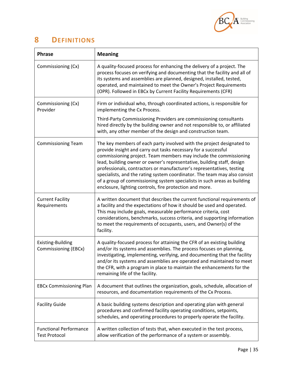

# **8 DEFINITIONS**

| <b>Phrase</b>                                         | <b>Meaning</b>                                                                                                                                                                                                                                                                                                                                                                                                                                                                                                                                                                      |  |  |  |
|-------------------------------------------------------|-------------------------------------------------------------------------------------------------------------------------------------------------------------------------------------------------------------------------------------------------------------------------------------------------------------------------------------------------------------------------------------------------------------------------------------------------------------------------------------------------------------------------------------------------------------------------------------|--|--|--|
| Commissioning (Cx)                                    | A quality-focused process for enhancing the delivery of a project. The<br>process focuses on verifying and documenting that the facility and all of<br>its systems and assemblies are planned, designed, installed, tested,<br>operated, and maintained to meet the Owner's Project Requirements<br>(OPR). Followed in EBCx by Current Facility Requirements (CFR)                                                                                                                                                                                                                  |  |  |  |
| Commissioning (Cx)<br>Provider                        | Firm or individual who, through coordinated actions, is responsible for<br>implementing the Cx Process.                                                                                                                                                                                                                                                                                                                                                                                                                                                                             |  |  |  |
|                                                       | Third-Party Commissioning Providers are commissioning consultants<br>hired directly by the building owner and not responsible to, or affiliated<br>with, any other member of the design and construction team.                                                                                                                                                                                                                                                                                                                                                                      |  |  |  |
| <b>Commissioning Team</b>                             | The key members of each party involved with the project designated to<br>provide insight and carry out tasks necessary for a successful<br>commissioning project. Team members may include the commissioning<br>lead, building owner or owner's representative, building staff, design<br>professionals, contractors or manufacturer's representatives, testing<br>specialists, and the rating system coordinator. The team may also consist<br>of a group of commissioning system specialists in such areas as building<br>enclosure, lighting controls, fire protection and more. |  |  |  |
| <b>Current Facility</b><br>Requirements               | A written document that describes the current functional requirements of<br>a facility and the expectations of how it should be used and operated.<br>This may include goals, measurable performance criteria, cost<br>considerations, benchmarks, success criteria, and supporting information<br>to meet the requirements of occupants, users, and Owner(s) of the<br>facility.                                                                                                                                                                                                   |  |  |  |
| <b>Existing-Building</b><br>Commissioning (EBCx)      | A quality-focused process for attaining the CFR of an existing building<br>and/or its systems and assemblies. The process focuses on planning,<br>investigating, implementing, verifying, and documenting that the facility<br>and/or its systems and assemblies are operated and maintained to meet<br>the CFR, with a program in place to maintain the enhancements for the<br>remaining life of the facility.                                                                                                                                                                    |  |  |  |
| <b>EBCx Commissioning Plan</b>                        | A document that outlines the organization, goals, schedule, allocation of<br>resources, and documentation requirements of the Cx Process.                                                                                                                                                                                                                                                                                                                                                                                                                                           |  |  |  |
| <b>Facility Guide</b>                                 | A basic building systems description and operating plan with general<br>procedures and confirmed facility operating conditions, setpoints,<br>schedules, and operating procedures to properly operate the facility.                                                                                                                                                                                                                                                                                                                                                                 |  |  |  |
| <b>Functional Performance</b><br><b>Test Protocol</b> | A written collection of tests that, when executed in the test process,<br>allow verification of the performance of a system or assembly.                                                                                                                                                                                                                                                                                                                                                                                                                                            |  |  |  |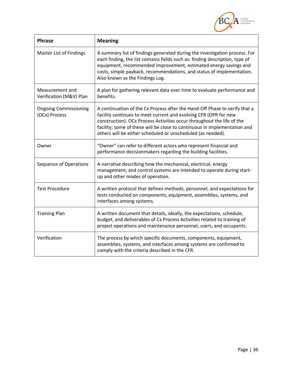

| <b>Phrase</b>                                 | <b>Meaning</b>                                                                                                                                                                                                                                                                                                                                                       |  |  |
|-----------------------------------------------|----------------------------------------------------------------------------------------------------------------------------------------------------------------------------------------------------------------------------------------------------------------------------------------------------------------------------------------------------------------------|--|--|
| <b>Master List of Findings</b>                | A summary list of findings generated during the investigation process. For<br>each finding, the list contains fields such as: finding description, type of<br>equipment, recommended improvement, estimated energy savings and<br>costs, simple payback, recommendations, and status of implementation.<br>Also known as the Findings Log.                           |  |  |
| Measurement and<br>Verification (M&V) Plan    | A plan for gathering relevant data over time to evaluate performance and<br>benefits.                                                                                                                                                                                                                                                                                |  |  |
| <b>Ongoing Commissioning</b><br>(OCx) Process | A continuation of the Cx Process after the Hand-Off Phase to verify that a<br>facility continues to meet current and evolving CFR (OPR for new<br>construction). OCx Process Activities occur throughout the life of the<br>facility; some of these will be close to continuous in implementation and<br>others will be either scheduled or unscheduled (as needed). |  |  |
| Owner                                         | "Owner" can refer to different actors who represent financial and<br>performance decisionmakers regarding the building facilities.                                                                                                                                                                                                                                   |  |  |
| Sequence of Operations                        | A narrative describing how the mechanical, electrical, energy<br>management, and control systems are intended to operate during start-<br>up and other modes of operation.                                                                                                                                                                                           |  |  |
| <b>Test Procedure</b>                         | A written protocol that defines methods, personnel, and expectations for<br>tests conducted on components, equipment, assemblies, systems, and<br>interfaces among systems.                                                                                                                                                                                          |  |  |
| <b>Training Plan</b>                          | A written document that details, ideally, the expectations, schedule,<br>budget, and deliverables of Cx Process Activities related to training of<br>project operations and maintenance personnel, users, and occupants.                                                                                                                                             |  |  |
| Verification                                  | The process by which specific documents, components, equipment,<br>assemblies, systems, and interfaces among systems are confirmed to<br>comply with the criteria described in the CFR.                                                                                                                                                                              |  |  |